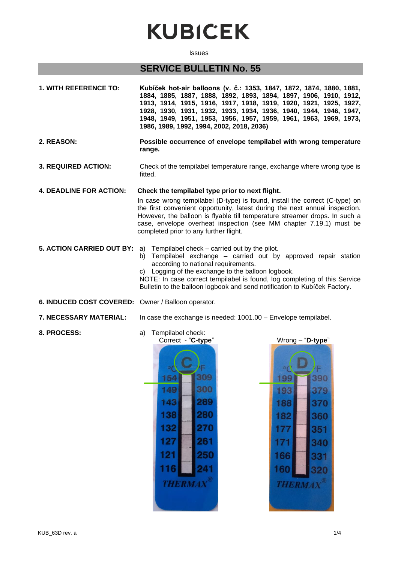Issues

#### **SERVICE BULLETIN No. 55**

- **1. WITH REFERENCE TO: Kubíček hot-air balloons (v. č.: 1353, 1847, 1872, 1874, 1880, 1881, 1884, 1885, 1887, 1888, 1892, 1893, 1894, 1897, 1906, 1910, 1912, 1913, 1914, 1915, 1916, 1917, 1918, 1919, 1920, 1921, 1925, 1927, 1928, 1930, 1931, 1932, 1933, 1934, 1936, 1940, 1944, 1946, 1947, 1948, 1949, 1951, 1953, 1956, 1957, 1959, 1961, 1963, 1969, 1973, 1986, 1989, 1992, 1994, 2002, 2018, 2036)**
- **2. REASON: Possible occurrence of envelope tempilabel with wrong temperature range.**
- **3. REQUIRED ACTION:** Check of the tempilabel temperature range, exchange where wrong type is fitted.

**4. DEADLINE FOR ACTION: Check the tempilabel type prior to next flight.**

In case wrong tempilabel (D-type) is found, install the correct (C-type) on the first convenient opportunity, latest during the next annual inspection. However, the balloon is flyable till temperature streamer drops. In such a case, envelope overheat inspection (see MM chapter 7.19.1) must be completed prior to any further flight.

- 
- **5. ACTION CARRIED OUT BY:** a) Tempilabel check carried out by the pilot.
	- b) Tempilabel exchange carried out by approved repair station according to national requirements.
	- c) Logging of the exchange to the balloon logbook.

NOTE: In case correct tempilabel is found, log completing of this Service Bulletin to the balloon logbook and send notification to Kubíček Factory.

- **6. INDUCED COST COVERED:** Owner / Balloon operator.
- 
- **7. NECESSARY MATERIAL:** In case the exchange is needed: 1001.00 Envelope tempilabel.
- 
- **8. PROCESS:** a) Tempilabel check:



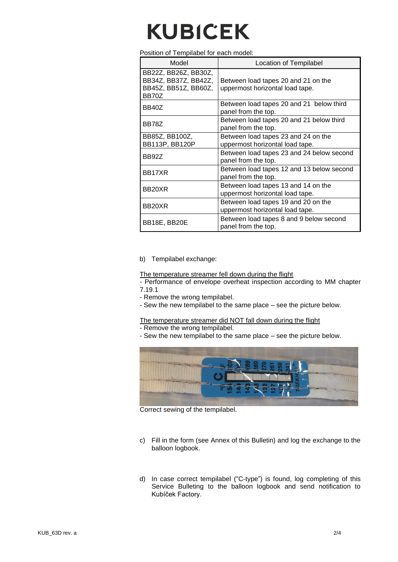Position of Tempilabel for each model:

| Model                                                                         | Location of Tempilabel                                                 |  |
|-------------------------------------------------------------------------------|------------------------------------------------------------------------|--|
| BB22Z, BB26Z, BB30Z,<br>BB34Z, BB37Z, BB42Z,<br>BB45Z, BB51Z, BB60Z,<br>BB70Z | Between load tapes 20 and 21 on the<br>uppermost horizontal load tape. |  |
| BB40Z                                                                         | Between load tapes 20 and 21 below third<br>panel from the top.        |  |
| BB78Z                                                                         | Between load tapes 20 and 21 below third<br>panel from the top.        |  |
| BB85Z, BB100Z,<br>BB113P, BB120P                                              | Between load tapes 23 and 24 on the<br>uppermost horizontal load tape. |  |
| BB92Z                                                                         | Between load tapes 23 and 24 below second<br>panel from the top.       |  |
| BB17XR                                                                        | Between load tapes 12 and 13 below second<br>panel from the top.       |  |
| BB20XR                                                                        | Between load tapes 13 and 14 on the<br>uppermost horizontal load tape. |  |
| BB <sub>20</sub> XR                                                           | Between load tapes 19 and 20 on the<br>uppermost horizontal load tape. |  |
| BB18E, BB20E                                                                  | Between load tapes 8 and 9 below second<br>panel from the top.         |  |

b) Tempilabel exchange:

The temperature streamer fell down during the flight

- Performance of envelope overheat inspection according to MM chapter 7.19.1

- Remove the wrong tempilabel.
- Sew the new tempilabel to the same place see the picture below.

The temperature streamer did NOT fall down during the flight

- Remove the wrong tempilabel.
- Sew the new tempilabel to the same place see the picture below.



Correct sewing of the tempilabel.

- c) Fill in the form (see Annex of this Bulletin) and log the exchange to the balloon logbook.
- d) In case correct tempilabel ("C-type") is found, log completing of this Service Bulleting to the balloon logbook and send notification to Kubíček Factory.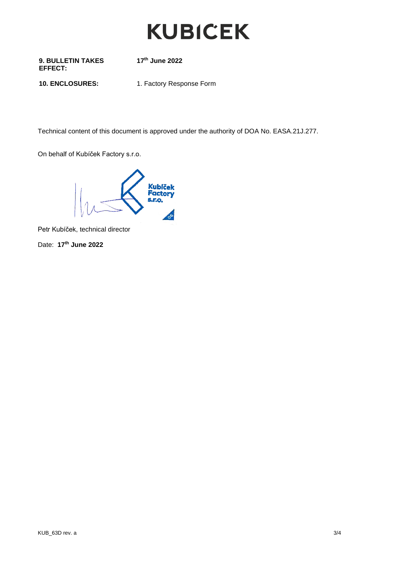**9. BULLETIN TAKES EFFECT:**

**17 th June 2022**

10. **ENCLOSURES:** 1. Factory Response Form

Technical content of this document is approved under the authority of DOA No. EASA.21J.277.

On behalf of Kubíček Factory s.r.o.



Petr Kubíček, technical director

Date: **17 th June 2022**